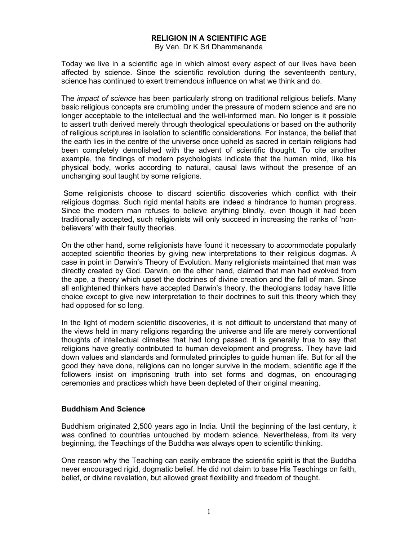# **RELIGION IN A SCIENTIFIC AGE**

By Ven. Dr K Sri Dhammananda

Today we live in a scientific age in which almost every aspect of our lives have been affected by science. Since the scientific revolution during the seventeenth century, science has continued to exert tremendous influence on what we think and do.

The *impact of science* has been particularly strong on traditional religious beliefs. Many basic religious concepts are crumbling under the pressure of modern science and are no longer acceptable to the intellectual and the well-informed man. No longer is it possible to assert truth derived merely through theological speculations or based on the authority of religious scriptures in isolation to scientific considerations. For instance, the belief that the earth lies in the centre of the universe once upheld as sacred in certain religions had been completely demolished with the advent of scientific thought. To cite another example, the findings of modern psychologists indicate that the human mind, like his physical body, works according to natural, causal laws without the presence of an unchanging soul taught by some religions.

Some religionists choose to discard scientific discoveries which conflict with their religious dogmas. Such rigid mental habits are indeed a hindrance to human progress. Since the modern man refuses to believe anything blindly, even though it had been traditionally accepted, such religionists will only succeed in increasing the ranks of 'nonbelievers' with their faulty theories.

On the other hand, some religionists have found it necessary to accommodate popularly accepted scientific theories by giving new interpretations to their religious dogmas. A case in point in Darwin's Theory of Evolution. Many religionists maintained that man was directly created by God. Darwin, on the other hand, claimed that man had evolved from the ape, a theory which upset the doctrines of divine creation and the fall of man. Since all enlightened thinkers have accepted Darwin's theory, the theologians today have little choice except to give new interpretation to their doctrines to suit this theory which they had opposed for so long.

In the light of modern scientific discoveries, it is not difficult to understand that many of the views held in many religions regarding the universe and life are merely conventional thoughts of intellectual climates that had long passed. It is generally true to say that religions have greatly contributed to human development and progress. They have laid down values and standards and formulated principles to guide human life. But for all the good they have done, religions can no longer survive in the modern, scientific age if the followers insist on imprisoning truth into set forms and dogmas, on encouraging ceremonies and practices which have been depleted of their original meaning.

#### **Buddhism And Science**

Buddhism originated 2,500 years ago in India. Until the beginning of the last century, it was confined to countries untouched by modern science. Nevertheless, from its very beginning, the Teachings of the Buddha was always open to scientific thinking.

One reason why the Teaching can easily embrace the scientific spirit is that the Buddha never encouraged rigid, dogmatic belief. He did not claim to base His Teachings on faith, belief, or divine revelation, but allowed great flexibility and freedom of thought.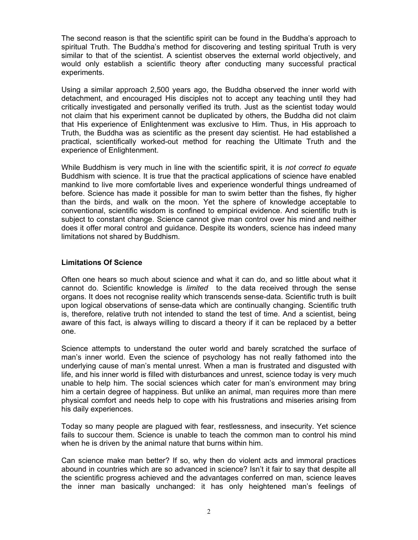The second reason is that the scientific spirit can be found in the Buddha's approach to spiritual Truth. The Buddha's method for discovering and testing spiritual Truth is very similar to that of the scientist. A scientist observes the external world objectively, and would only establish a scientific theory after conducting many successful practical experiments.

Using a similar approach 2,500 years ago, the Buddha observed the inner world with detachment, and encouraged His disciples not to accept any teaching until they had critically investigated and personally verified its truth. Just as the scientist today would not claim that his experiment cannot be duplicated by others, the Buddha did not claim that His experience of Enlightenment was exclusive to Him. Thus, in His approach to Truth, the Buddha was as scientific as the present day scientist. He had established a practical, scientifically worked-out method for reaching the Ultimate Truth and the experience of Enlightenment.

While Buddhism is very much in line with the scientific spirit, it is *not correct to equate* Buddhism with science. It is true that the practical applications of science have enabled mankind to live more comfortable lives and experience wonderful things undreamed of before. Science has made it possible for man to swim better than the fishes, fly higher than the birds, and walk on the moon. Yet the sphere of knowledge acceptable to conventional, scientific wisdom is confined to empirical evidence. And scientific truth is subject to constant change. Science cannot give man control over his mind and neither does it offer moral control and guidance. Despite its wonders, science has indeed many limitations not shared by Buddhism.

## **Limitations Of Science**

Often one hears so much about science and what it can do, and so little about what it cannot do. Scientific knowledge is *limited* to the data received through the sense organs. It does not recognise reality which transcends sense-data. Scientific truth is built upon logical observations of sense-data which are continually changing. Scientific truth is, therefore, relative truth not intended to stand the test of time. And a scientist, being aware of this fact, is always willing to discard a theory if it can be replaced by a better one.

Science attempts to understand the outer world and barely scratched the surface of man's inner world. Even the science of psychology has not really fathomed into the underlying cause of man's mental unrest. When a man is frustrated and disgusted with life, and his inner world is filled with disturbances and unrest, science today is very much unable to help him. The social sciences which cater for man's environment may bring him a certain degree of happiness. But unlike an animal, man requires more than mere physical comfort and needs help to cope with his frustrations and miseries arising from his daily experiences.

Today so many people are plagued with fear, restlessness, and insecurity. Yet science fails to succour them. Science is unable to teach the common man to control his mind when he is driven by the animal nature that burns within him.

Can science make man better? If so, why then do violent acts and immoral practices abound in countries which are so advanced in science? Isn't it fair to say that despite all the scientific progress achieved and the advantages conferred on man, science leaves the inner man basically unchanged: it has only heightened man's feelings of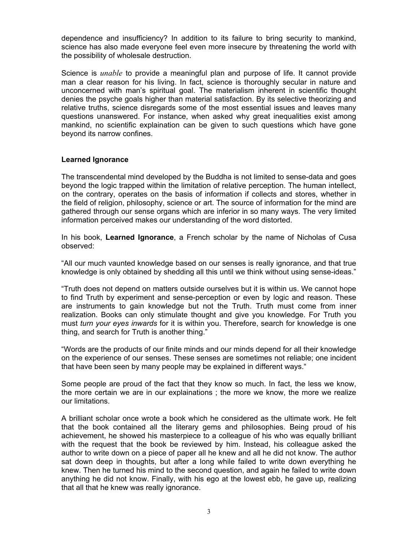dependence and insufficiency? In addition to its failure to bring security to mankind, science has also made everyone feel even more insecure by threatening the world with the possibility of wholesale destruction.

Science is *unable* to provide a meaningful plan and purpose of life. It cannot provide man a clear reason for his living. In fact, science is thoroughly secular in nature and unconcerned with man's spiritual goal. The materialism inherent in scientific thought denies the psyche goals higher than material satisfaction. By its selective theorizing and relative truths, science disregards some of the most essential issues and leaves many questions unanswered. For instance, when asked why great inequalities exist among mankind, no scientific explaination can be given to such questions which have gone beyond its narrow confines.

#### **Learned Ignorance**

The transcendental mind developed by the Buddha is not limited to sense-data and goes beyond the logic trapped within the limitation of relative perception. The human intellect, on the contrary, operates on the basis of information if collects and stores, whether in the field of religion, philosophy, science or art. The source of information for the mind are gathered through our sense organs which are inferior in so many ways. The very limited information perceived makes our understanding of the word distorted.

In his book, **Learned Ignorance**, a French scholar by the name of Nicholas of Cusa observed:

"All our much vaunted knowledge based on our senses is really ignorance, and that true knowledge is only obtained by shedding all this until we think without using sense-ideas."

"Truth does not depend on matters outside ourselves but it is within us. We cannot hope to find Truth by experiment and sense-perception or even by logic and reason. These are instruments to gain knowledge but not the Truth. Truth must come from inner realization. Books can only stimulate thought and give you knowledge. For Truth you must *turn your eyes inwards* for it is within you. Therefore, search for knowledge is one thing, and search for Truth is another thing."

"Words are the products of our finite minds and our minds depend for all their knowledge on the experience of our senses. These senses are sometimes not reliable; one incident that have been seen by many people may be explained in different ways."

Some people are proud of the fact that they know so much. In fact, the less we know, the more certain we are in our explainations ; the more we know, the more we realize our limitations.

A brilliant scholar once wrote a book which he considered as the ultimate work. He felt that the book contained all the literary gems and philosophies. Being proud of his achievement, he showed his masterpiece to a colleague of his who was equally brilliant with the request that the book be reviewed by him. Instead, his colleague asked the author to write down on a piece of paper all he knew and all he did not know. The author sat down deep in thoughts, but after a long while failed to write down everything he knew. Then he turned his mind to the second question, and again he failed to write down anything he did not know. Finally, with his ego at the lowest ebb, he gave up, realizing that all that he knew was really ignorance.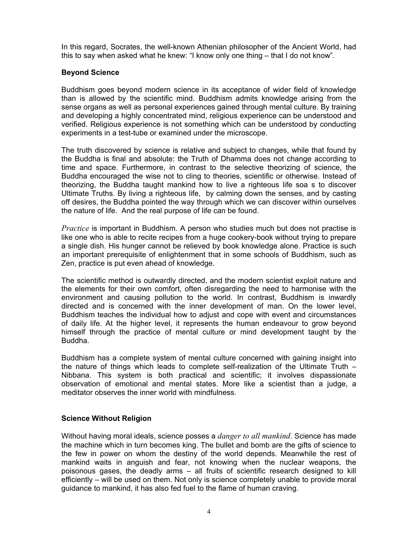In this regard, Socrates, the well-known Athenian philosopher of the Ancient World, had this to say when asked what he knew: "I know only one thing – that I do not know".

### **Beyond Science**

Buddhism goes beyond modern science in its acceptance of wider field of knowledge than is allowed by the scientific mind. Buddhism admits knowledge arising from the sense organs as well as personal experiences gained through mental culture. By training and developing a highly concentrated mind, religious experience can be understood and verified. Religious experience is not something which can be understood by conducting experiments in a test-tube or examined under the microscope.

The truth discovered by science is relative and subject to changes, while that found by the Buddha is final and absolute: the Truth of Dhamma does not change according to time and space. Furthermore, in contrast to the selective theorizing of science, the Buddha encouraged the wise not to cling to theories, scientific or otherwise. Instead of theorizing, the Buddha taught mankind how to live a righteous life soa s to discover Ultimate Truths. By living a righteous life, by calming down the senses, and by casting off desires, the Buddha pointed the way through which we can discover within ourselves the nature of life. And the real purpose of life can be found.

*Practice* is important in Buddhism. A person who studies much but does not practise is like one who is able to recite recipes from a huge cookery-book without trying to prepare a single dish. His hunger cannot be relieved by book knowledge alone. Practice is such an important prerequisite of enlightenment that in some schools of Buddhism, such as Zen, practice is put even ahead of knowledge.

The scientific method is outwardly directed, and the modern scientist exploit nature and the elements for their own comfort, often disregarding the need to harmonise with the environment and causing pollution to the world. In contrast, Buddhism is inwardly directed and is concerned with the inner development of man. On the lower level, Buddhism teaches the individual how to adjust and cope with event and circumstances of daily life. At the higher level, it represents the human endeavour to grow beyond himself through the practice of mental culture or mind development taught by the Buddha.

Buddhism has a complete system of mental culture concerned with gaining insight into the nature of things which leads to complete self-realization of the Ultimate Truth – Nibbana. This system is both practical and scientific; it involves dispassionate observation of emotional and mental states. More like a scientist than a judge, a meditator observes the inner world with mindfulness.

## **Science Without Religion**

Without having moral ideals, science posses a *danger to all mankind*. Science has made the machine which in turn becomes king. The bullet and bomb are the gifts of science to the few in power on whom the destiny of the world depends. Meanwhile the rest of mankind waits in anguish and fear, not knowing when the nuclear weapons, the poisonous gases, the deadly arms – all fruits of scientific research designed to kill efficiently – will be used on them. Not only is science completely unable to provide moral guidance to mankind, it has also fed fuel to the flame of human craving.